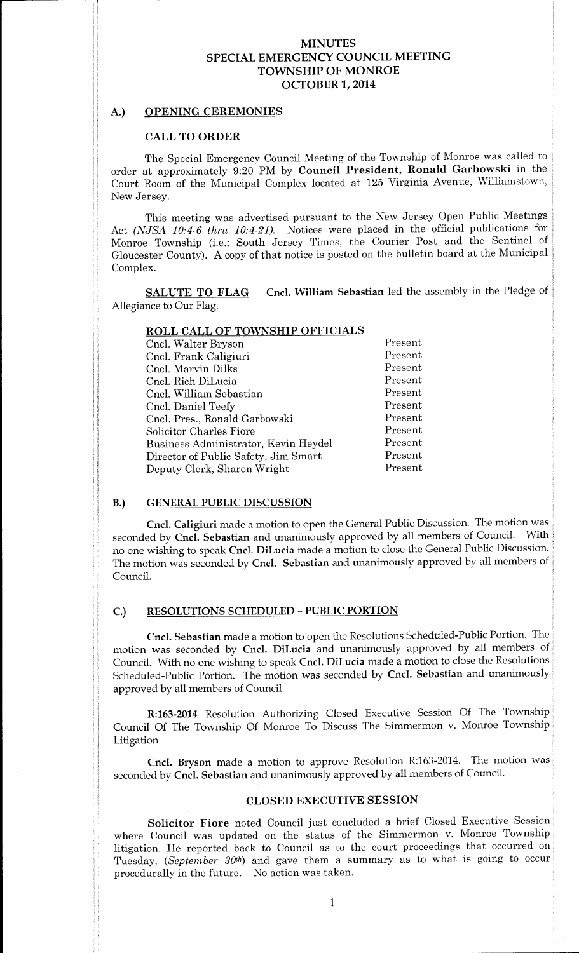## MINUTES SPECIAL EMERGENCY COUNCIL MEETING TOWNSHIP OF MONROE OCTOBER 1, 2014

#### A.) OPENING CEREMONIES

#### CALL TO ORDER

The Special Emergency Council Meeting of the Township of Monroe was called to order at approximately 9:20 PM by Council President, Ronald Garbowski in the Court Room of the Municipal Complex located at 125 Virginia Avenue, Williamstown, New Jersey.

This meeting was advertised pursuant to the New Jersey Open Public Meetings Act (NJSA 10:4-6 thru 10:4-21). Notices were placed in the official publications for Monroe Township (i.e.: South Jersey Times, the Courier Post and the Sentinel of Gloucester County). A copy of that notice is posted on the bulletin board at the Municipal Complex.

SALUTE TO FLAG Cncl. William Sebastian led the assembly in the Pledge of Allegiance to Our Flag.

|                                      | RULL CALL OF TOWNSHIP OFFICIALS |  |
|--------------------------------------|---------------------------------|--|
| Cncl. Walter Bryson                  | Present                         |  |
| Cncl. Frank Caligiuri                | Present                         |  |
| Cncl. Marvin Dilks                   | Present                         |  |
| Cncl. Rich DiLucia                   | Present                         |  |
| Cncl. William Sebastian              | Present                         |  |
| Cncl. Daniel Teefy                   | Present                         |  |
| Cncl. Pres., Ronald Garbowski        | Present                         |  |
| Solicitor Charles Fiore              | Present                         |  |
| Business Administrator, Kevin Heydel | Present                         |  |
| Director of Public Safety, Jim Smart | Present                         |  |
| Deputy Clerk, Sharon Wright          | Present                         |  |
|                                      |                                 |  |

# ROLL CALL OF TOWNSHIP OFFICIALS

# B.) GENERAL PUBLIC DISCUSSION

Cncl. Caligiuri made <sup>a</sup> motion to open the General Public Discussion. The motion was seconded by Cncl. Sebastian and unanimously approved by all members of Council. no one wishing to speak Cncl. DiLucia made <sup>a</sup> motion to close the General Public Discussion. The motion was seconded by Cncl. Sebastian and unanimously approved by all members of Council.

### C.) RESOLUTIONS SCHEDULED- PUBLIC PORTION

Cncl. Sebastian made a motion to open the Resolutions Scheduled-Public Portion. The motion was seconded by Cncl. DiLucia and unanimously approved by all members of Council. With no one wishing to speak Cncl. DiLucia made a motion to close the Resolutions Scheduled-Public Portion. The motion was seconded by Cncl. Sebastian and unanimously approved by all members of Council.

R:163-2014 Resolution Authorizing Closed Executive Session Of The Township Council Of The Township Of Monroe To Discuss The Simmermon v. Monroe Township Litigation

Cncl. Bryson made a motion to approve Resolution R:163-2014. The motion was seconded by Cncl. Sebastian and unanimously approved by all members of Council.

#### CLOSED EXECUTIVE SESSION

Solicitor Fiore noted Council just concluded a brief Closed Executive Session where Council was updated on the status of the Simmermon v. Monroe Township litigation. He reported back to Council as to the court proceedings that occurred on Tuesday, (September  $30<sup>th</sup>$ ) and gave them a summary as to what is going to occur procedurally in the future. No action was taken.